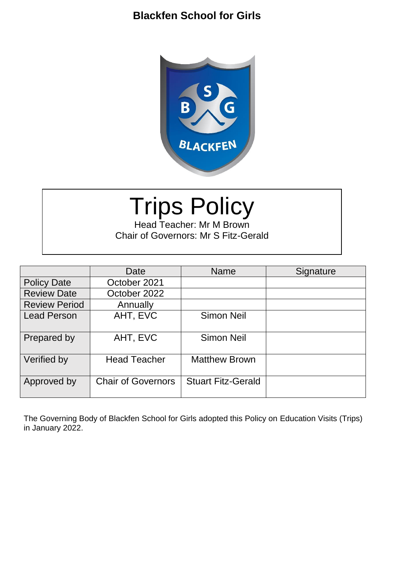

# Trips Policy

Head Teacher: Mr M Brown Chair of Governors: Mr S Fitz-Gerald

|                      | Date                      | <b>Name</b>               | Signature |
|----------------------|---------------------------|---------------------------|-----------|
| <b>Policy Date</b>   | October 2021              |                           |           |
| <b>Review Date</b>   | October 2022              |                           |           |
| <b>Review Period</b> | Annually                  |                           |           |
| <b>Lead Person</b>   | AHT, EVC                  | <b>Simon Neil</b>         |           |
| Prepared by          | AHT, EVC                  | <b>Simon Neil</b>         |           |
| Verified by          | <b>Head Teacher</b>       | <b>Matthew Brown</b>      |           |
| Approved by          | <b>Chair of Governors</b> | <b>Stuart Fitz-Gerald</b> |           |

The Governing Body of Blackfen School for Girls adopted this Policy on Education Visits (Trips) in January 2022.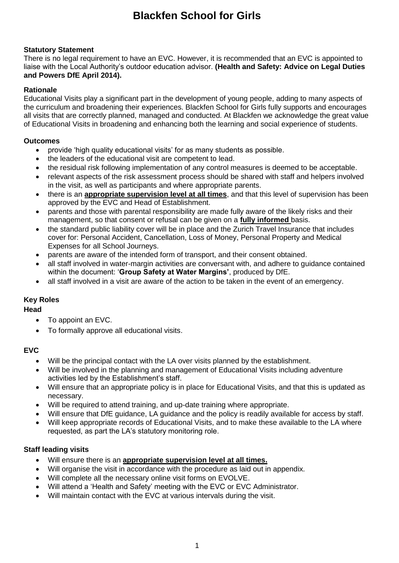### **Statutory Statement**

There is no legal requirement to have an EVC. However, it is recommended that an EVC is appointed to liaise with the Local Authority's outdoor education advisor. **(Health and Safety: Advice on Legal Duties and Powers DfE April 2014).**

### **Rationale**

Educational Visits play a significant part in the development of young people, adding to many aspects of the curriculum and broadening their experiences. Blackfen School for Girls fully supports and encourages all visits that are correctly planned, managed and conducted. At Blackfen we acknowledge the great value of Educational Visits in broadening and enhancing both the learning and social experience of students.

### **Outcomes**

- provide 'high quality educational visits' for as many students as possible.
- the leaders of the educational visit are competent to lead.
- the residual risk following implementation of any control measures is deemed to be acceptable.
- relevant aspects of the risk assessment process should be shared with staff and helpers involved in the visit, as well as participants and where appropriate parents.
- there is an **appropriate supervision level at all times**, and that this level of supervision has been approved by the EVC and Head of Establishment.
- parents and those with parental responsibility are made fully aware of the likely risks and their management, so that consent or refusal can be given on a **fully informed** basis.
- the standard public liability cover will be in place and the Zurich Travel Insurance that includes cover for: Personal Accident, Cancellation, Loss of Money, Personal Property and Medical Expenses for all School Journeys.
- parents are aware of the intended form of transport, and their consent obtained.
- all staff involved in water-margin activities are conversant with, and adhere to guidance contained within the document: '**Group Safety at Water Margins'**, produced by DfE.
- all staff involved in a visit are aware of the action to be taken in the event of an emergency.

### **Key Roles**

### **Head**

- To appoint an EVC.
- To formally approve all educational visits.

### **EVC**

- Will be the principal contact with the LA over visits planned by the establishment.
- Will be involved in the planning and management of Educational Visits including adventure activities led by the Establishment's staff.
- Will ensure that an appropriate policy is in place for Educational Visits, and that this is updated as necessary.
- Will be required to attend training, and up-date training where appropriate.
- Will ensure that DfE guidance. LA guidance and the policy is readily available for access by staff.
- Will keep appropriate records of Educational Visits, and to make these available to the LA where requested, as part the LA's statutory monitoring role.

### **Staff leading visits**

- Will ensure there is an **appropriate supervision level at all times.**
- Will organise the visit in accordance with the procedure as laid out in appendix.
- Will complete all the necessary online visit forms on EVOLVE.
- Will attend a 'Health and Safety' meeting with the EVC or EVC Administrator.
- Will maintain contact with the EVC at various intervals during the visit.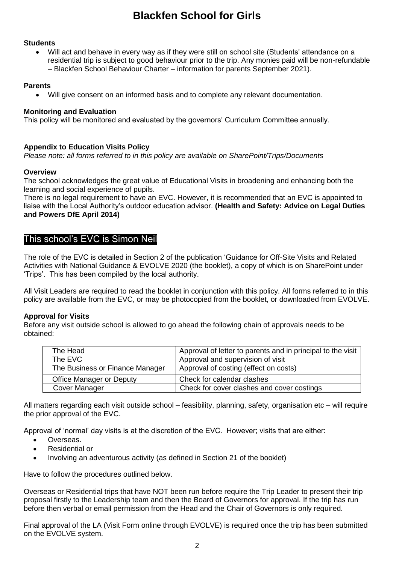### **Students**

 Will act and behave in every way as if they were still on school site (Students' attendance on a residential trip is subject to good behaviour prior to the trip. Any monies paid will be non-refundable – Blackfen School Behaviour Charter – information for parents September 2021).

### **Parents**

Will give consent on an informed basis and to complete any relevant documentation.

#### **Monitoring and Evaluation**

This policy will be monitored and evaluated by the governors' Curriculum Committee annually.

### **Appendix to Education Visits Policy**

*Please note: all forms referred to in this policy are available on SharePoint/Trips/Documents*

#### **Overview**

The school acknowledges the great value of Educational Visits in broadening and enhancing both the learning and social experience of pupils.

There is no legal requirement to have an EVC. However, it is recommended that an EVC is appointed to liaise with the Local Authority's outdoor education advisor. **(Health and Safety: Advice on Legal Duties and Powers DfE April 2014)**

### This school's EVC is Simon Neil

The role of the EVC is detailed in Section 2 of the publication 'Guidance for Off-Site Visits and Related Activities with National Guidance & EVOLVE 2020 (the booklet), a copy of which is on SharePoint under 'Trips'. This has been compiled by the local authority.

All Visit Leaders are required to read the booklet in conjunction with this policy. All forms referred to in this policy are available from the EVC, or may be photocopied from the booklet, or downloaded from EVOLVE.

### **Approval for Visits**

Before any visit outside school is allowed to go ahead the following chain of approvals needs to be obtained:

| The Head                        | Approval of letter to parents and in principal to the visit |  |
|---------------------------------|-------------------------------------------------------------|--|
| The EVC                         | Approval and supervision of visit                           |  |
| The Business or Finance Manager | Approval of costing (effect on costs)                       |  |
| <b>Office Manager or Deputy</b> | Check for calendar clashes                                  |  |
| Cover Manager                   | Check for cover clashes and cover costings                  |  |

All matters regarding each visit outside school – feasibility, planning, safety, organisation etc – will require the prior approval of the EVC.

Approval of 'normal' day visits is at the discretion of the EVC. However; visits that are either:

- **C** Overseas.
- Residential or
- Involving an adventurous activity (as defined in Section 21 of the booklet)

Have to follow the procedures outlined below.

Overseas or Residential trips that have NOT been run before require the Trip Leader to present their trip proposal firstly to the Leadership team and then the Board of Governors for approval. If the trip has run before then verbal or email permission from the Head and the Chair of Governors is only required.

Final approval of the LA (Visit Form online through EVOLVE) is required once the trip has been submitted on the EVOLVE system.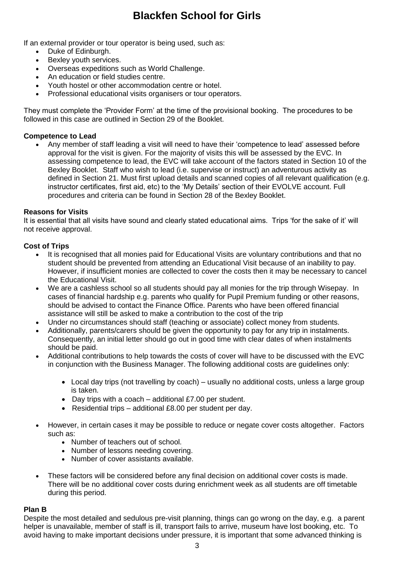If an external provider or tour operator is being used, such as:

- Duke of Edinburgh.
- Bexley youth services.
- Overseas expeditions such as World Challenge.
- An education or field studies centre.
- Youth hostel or other accommodation centre or hotel.
- Professional educational visits organisers or tour operators.

They must complete the 'Provider Form' at the time of the provisional booking. The procedures to be followed in this case are outlined in Section 29 of the Booklet.

#### **Competence to Lead**

 Any member of staff leading a visit will need to have their 'competence to lead' assessed before approval for the visit is given. For the majority of visits this will be assessed by the EVC. In assessing competence to lead, the EVC will take account of the factors stated in Section 10 of the Bexley Booklet. Staff who wish to lead (i.e. supervise or instruct) an adventurous activity as defined in Section 21. Must first upload details and scanned copies of all relevant qualification (e.g. instructor certificates, first aid, etc) to the 'My Details' section of their EVOLVE account. Full procedures and criteria can be found in Section 28 of the Bexley Booklet.

#### **Reasons for Visits**

It is essential that all visits have sound and clearly stated educational aims. Trips 'for the sake of it' will not receive approval.

#### **Cost of Trips**

- It is recognised that all monies paid for Educational Visits are voluntary contributions and that no student should be prevented from attending an Educational Visit because of an inability to pay. However, if insufficient monies are collected to cover the costs then it may be necessary to cancel the Educational Visit.
- We are a cashless school so all students should pay all monies for the trip through Wisepay. In cases of financial hardship e.g. parents who qualify for Pupil Premium funding or other reasons, should be advised to contact the Finance Office. Parents who have been offered financial assistance will still be asked to make a contribution to the cost of the trip
- Under no circumstances should staff (teaching or associate) collect money from students.
- Additionally, parents/carers should be given the opportunity to pay for any trip in instalments. Consequently, an initial letter should go out in good time with clear dates of when instalments should be paid.
- Additional contributions to help towards the costs of cover will have to be discussed with the EVC in conjunction with the Business Manager. The following additional costs are guidelines only:
	- Local day trips (not travelling by coach) usually no additional costs, unless a large group is taken.
	- Day trips with a coach additional £7.00 per student.
	- Residential trips additional £8.00 per student per day.
- However, in certain cases it may be possible to reduce or negate cover costs altogether. Factors such as:
	- Number of teachers out of school.
	- Number of lessons needing covering.
	- Number of cover assistants available.
- These factors will be considered before any final decision on additional cover costs is made. There will be no additional cover costs during enrichment week as all students are off timetable during this period.

#### **Plan B**

Despite the most detailed and sedulous pre-visit planning, things can go wrong on the day, e.g. a parent helper is unavailable, member of staff is ill, transport fails to arrive, museum have lost booking, etc. To avoid having to make important decisions under pressure, it is important that some advanced thinking is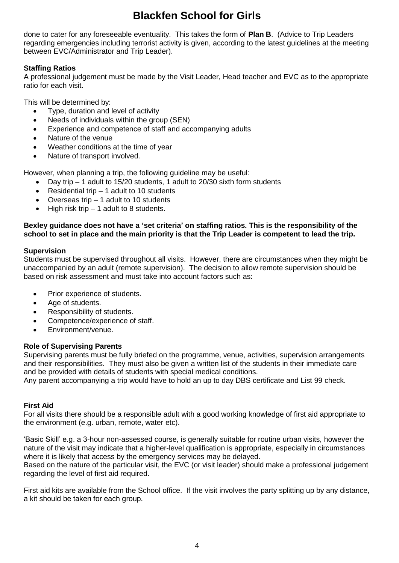done to cater for any foreseeable eventuality. This takes the form of **Plan B**. (Advice to Trip Leaders regarding emergencies including terrorist activity is given, according to the latest guidelines at the meeting between EVC/Administrator and Trip Leader).

### **Staffing Ratios**

A professional judgement must be made by the Visit Leader, Head teacher and EVC as to the appropriate ratio for each visit.

This will be determined by:

- Type, duration and level of activity
- Needs of individuals within the group (SEN)
- Experience and competence of staff and accompanying adults
- Nature of the venue
- Weather conditions at the time of year
- Nature of transport involved.

However, when planning a trip, the following guideline may be useful:

- Day trip 1 adult to 15/20 students, 1 adult to 20/30 sixth form students
- Residential trip 1 adult to 10 students
- Overseas trip 1 adult to 10 students
- High risk trip 1 adult to 8 students.

### **Bexley guidance does not have a 'set criteria' on staffing ratios. This is the responsibility of the school to set in place and the main priority is that the Trip Leader is competent to lead the trip.**

### **Supervision**

Students must be supervised throughout all visits. However, there are circumstances when they might be unaccompanied by an adult (remote supervision). The decision to allow remote supervision should be based on risk assessment and must take into account factors such as:

- Prior experience of students.
- Age of students.
- Responsibility of students.

a kit should be taken for each group.

- Competence/experience of staff.
- Environment/venue.

### **Role of Supervising Parents**

Supervising parents must be fully briefed on the programme, venue, activities, supervision arrangements and their responsibilities. They must also be given a written list of the students in their immediate care and be provided with details of students with special medical conditions.

Any parent accompanying a trip would have to hold an up to day DBS certificate and List 99 check.

### **First Aid**

For all visits there should be a responsible adult with a good working knowledge of first aid appropriate to the environment (e.g. urban, remote, water etc).

'Basic Skill' e.g. a 3-hour non-assessed course, is generally suitable for routine urban visits, however the nature of the visit may indicate that a higher-level qualification is appropriate, especially in circumstances where it is likely that access by the emergency services may be delayed. Based on the nature of the particular visit, the EVC (or visit leader) should make a professional judgement

regarding the level of first aid required. First aid kits are available from the School office. If the visit involves the party splitting up by any distance,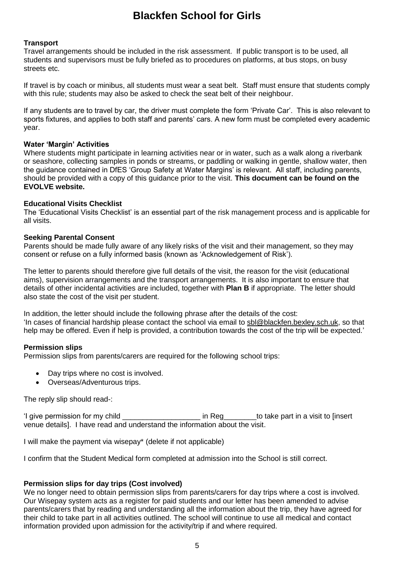### **Transport**

Travel arrangements should be included in the risk assessment. If public transport is to be used, all students and supervisors must be fully briefed as to procedures on platforms, at bus stops, on busy streets etc.

If travel is by coach or minibus, all students must wear a seat belt. Staff must ensure that students comply with this rule; students may also be asked to check the seat belt of their neighbour.

If any students are to travel by car, the driver must complete the form 'Private Car'. This is also relevant to sports fixtures, and applies to both staff and parents' cars. A new form must be completed every academic year.

### **Water 'Margin' Activities**

Where students might participate in learning activities near or in water, such as a walk along a riverbank or seashore, collecting samples in ponds or streams, or paddling or walking in gentle, shallow water, then the guidance contained in DfES 'Group Safety at Water Margins' is relevant. All staff, including parents, should be provided with a copy of this guidance prior to the visit. **This document can be found on the EVOLVE website.**

### **Educational Visits Checklist**

The 'Educational Visits Checklist' is an essential part of the risk management process and is applicable for all visits.

#### **Seeking Parental Consent**

Parents should be made fully aware of any likely risks of the visit and their management, so they may consent or refuse on a fully informed basis (known as 'Acknowledgement of Risk').

The letter to parents should therefore give full details of the visit, the reason for the visit (educational aims), supervision arrangements and the transport arrangements. It is also important to ensure that details of other incidental activities are included, together with **Plan B** if appropriate. The letter should also state the cost of the visit per student.

In addition, the letter should include the following phrase after the details of the cost: 'In cases of financial hardship please contact the school via email to [sbl@blackfen.bexley.sch.uk,](mailto:sbl@blackfen.bexley.sch.uk) so that help may be offered. Even if help is provided, a contribution towards the cost of the trip will be expected.'

### **Permission slips**

Permission slips from parents/carers are required for the following school trips:

- Day trips where no cost is involved.
- Overseas/Adventurous trips.

The reply slip should read-:

'I give permission for my child \_\_\_\_\_\_\_\_\_\_\_\_\_\_\_\_\_\_\_ in Reg\_\_\_\_\_\_\_\_to take part in a visit to [insert venue details]. I have read and understand the information about the visit.

I will make the payment via wisepay\* (delete if not applicable)

I confirm that the Student Medical form completed at admission into the School is still correct.

### **Permission slips for day trips (Cost involved)**

We no longer need to obtain permission slips from parents/carers for day trips where a cost is involved. Our Wisepay system acts as a register for paid students and our letter has been amended to advise parents/carers that by reading and understanding all the information about the trip, they have agreed for their child to take part in all activities outlined. The school will continue to use all medical and contact information provided upon admission for the activity/trip if and where required.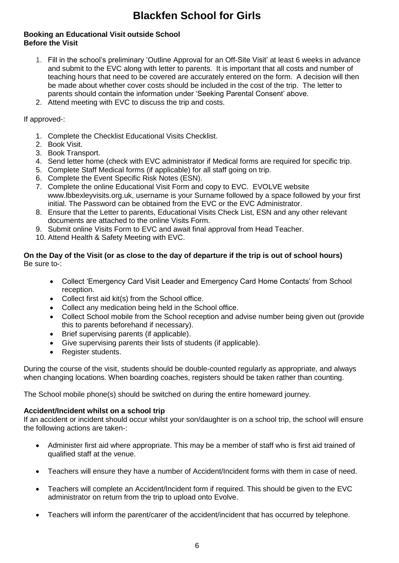### **Booking an Educational Visit outside School Before the Visit**

- 1. Fill in the school's preliminary 'Outline Approval for an Off-Site Visit' at least 6 weeks in advance and submit to the EVC along with letter to parents. It is important that all costs and number of teaching hours that need to be covered are accurately entered on the form. A decision will then be made about whether cover costs should be included in the cost of the trip. The letter to parents should contain the information under 'Seeking Parental Consent' above.
- 2. Attend meeting with EVC to discuss the trip and costs.

If approved-:

- 1. Complete the Checklist Educational Visits Checklist.
- 2. Book Visit.
- 3. Book Transport.
- 4. Send letter home (check with EVC administrator if Medical forms are required for specific trip.
- 5. Complete Staff Medical forms (if applicable) for all staff going on trip.
- 6. Complete the Event Specific Risk Notes (ESN).
- 7. Complete the online Educational Visit Form and copy to EVC. EVOLVE website www.lbbexleyvisits.org.uk, username is your Surname followed by a space followed by your first initial. The Password can be obtained from the EVC or the EVC Administrator.
- 8. Ensure that the Letter to parents, Educational Visits Check List, ESN and any other relevant documents are attached to the online Visits Form.
- 9. Submit online Visits Form to EVC and await final approval from Head Teacher.
- 10. Attend Health & Safety Meeting with EVC.

### **On the Day of the Visit (or as close to the day of departure if the trip is out of school hours)** Be sure to-:

- Collect 'Emergency Card Visit Leader and Emergency Card Home Contacts' from School reception.
- Collect first aid kit(s) from the School office.
- Collect any medication being held in the School office.
- Collect School mobile from the School reception and advise number being given out (provide this to parents beforehand if necessary).
- Brief supervising parents (if applicable).
- Give supervising parents their lists of students (if applicable).
- Register students.

During the course of the visit, students should be double-counted regularly as appropriate, and always when changing locations. When boarding coaches, registers should be taken rather than counting.

The School mobile phone(s) should be switched on during the entire homeward journey.

### **Accident/Incident whilst on a school trip**

If an accident or incident should occur whilst your son/daughter is on a school trip, the school will ensure the following actions are taken-:

- Administer first aid where appropriate. This may be a member of staff who is first aid trained of qualified staff at the venue.
- Teachers will ensure they have a number of Accident/Incident forms with them in case of need.
- Teachers will complete an Accident/Incident form if required. This should be given to the EVC administrator on return from the trip to upload onto Evolve.
- Teachers will inform the parent/carer of the accident/incident that has occurred by telephone.